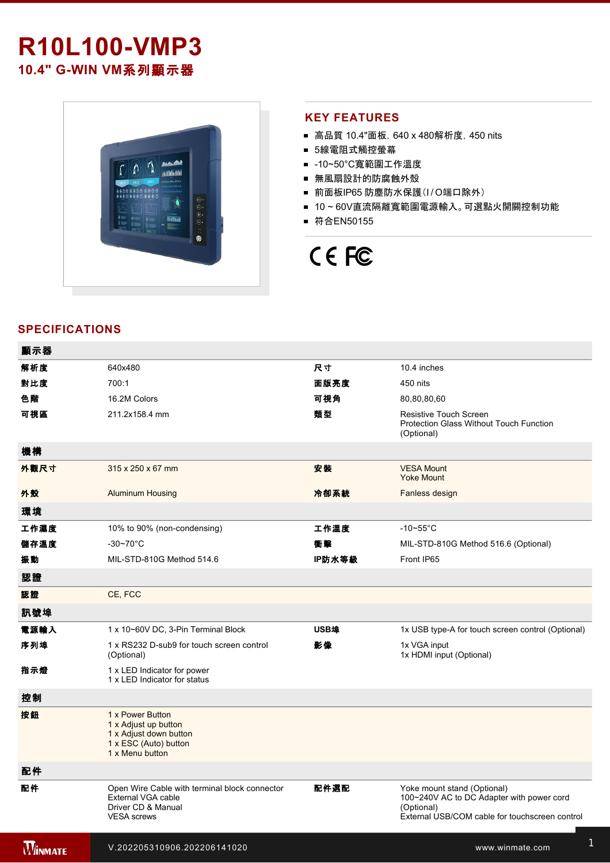# **R10L100-VMP3** 10.4" G-WIN VM系列顯示器



### **KEY FEATURES**

- 高品質 10.4"面板, 640 x 480解析度, 450 nits
- 5線電阻式觸控螢幕
- -10~50°C寬範圍工作溫度
- 無風扇設計的防腐蝕外殼
- 前面板IP65 防塵防水保護(I/O端口除外)
- 10~60V直流隔離寬範圍電源輸入。可選點火開關控制功能
- 符合EN50155

# CE FC

## **SPECIFICATIONS**

| 顯示器            |                                                                                                                 |        |                                                                                                                                          |
|----------------|-----------------------------------------------------------------------------------------------------------------|--------|------------------------------------------------------------------------------------------------------------------------------------------|
| 解析度            | 640x480                                                                                                         | 尺寸     | 10.4 inches                                                                                                                              |
| 對比度            | 700:1                                                                                                           | 面版亮度   | 450 nits                                                                                                                                 |
| 色階             | 16.2M Colors                                                                                                    | 可視角    | 80,80,80,60                                                                                                                              |
| 可視區            | 211.2x158.4 mm                                                                                                  | 類型     | <b>Resistive Touch Screen</b><br><b>Protection Glass Without Touch Function</b><br>(Optional)                                            |
| 機構             |                                                                                                                 |        |                                                                                                                                          |
| 外觀尺寸           | $315 \times 250 \times 67$ mm                                                                                   | 安装     | <b>VESA Mount</b><br><b>Yoke Mount</b>                                                                                                   |
| 外殼             | <b>Aluminum Housing</b>                                                                                         | 冷卻系統   | Fanless design                                                                                                                           |
| 環境             |                                                                                                                 |        |                                                                                                                                          |
| 工作濕度           | 10% to 90% (non-condensing)                                                                                     | 工作溫度   | $-10$ ~55°C                                                                                                                              |
| 儲存溫度           | $-30-70$ °C                                                                                                     | 衝撃     | MIL-STD-810G Method 516.6 (Optional)                                                                                                     |
| 振動             | MIL-STD-810G Method 514.6                                                                                       | IP防水等級 | Front IP65                                                                                                                               |
| 認證             |                                                                                                                 |        |                                                                                                                                          |
| 認證             | CE, FCC                                                                                                         |        |                                                                                                                                          |
| 訊號埠            |                                                                                                                 |        |                                                                                                                                          |
| 電源輸入           | 1 x 10~60V DC, 3-Pin Terminal Block                                                                             | USB埠   | 1x USB type-A for touch screen control (Optional)                                                                                        |
| 序列埠            | 1 x RS232 D-sub9 for touch screen control<br>(Optional)                                                         | 影像     | 1x VGA input<br>1x HDMI input (Optional)                                                                                                 |
| 指示燈            | 1 x LED Indicator for power<br>1 x LED Indicator for status                                                     |        |                                                                                                                                          |
| 控制             |                                                                                                                 |        |                                                                                                                                          |
| 按鈕             | 1 x Power Button<br>1 x Adjust up button<br>1 x Adjust down button<br>1 x ESC (Auto) button<br>1 x Menu button  |        |                                                                                                                                          |
| 配件             |                                                                                                                 |        |                                                                                                                                          |
| 配件             | Open Wire Cable with terminal block connector<br>External VGA cable<br>Driver CD & Manual<br><b>VESA</b> screws | 配件選配   | Yoke mount stand (Optional)<br>100~240V AC to DC Adapter with power cord<br>(Optional)<br>External USB/COM cable for touchscreen control |
| <b>WINMATE</b> | V.202205310906.202206141020                                                                                     |        | www.winmate.com                                                                                                                          |